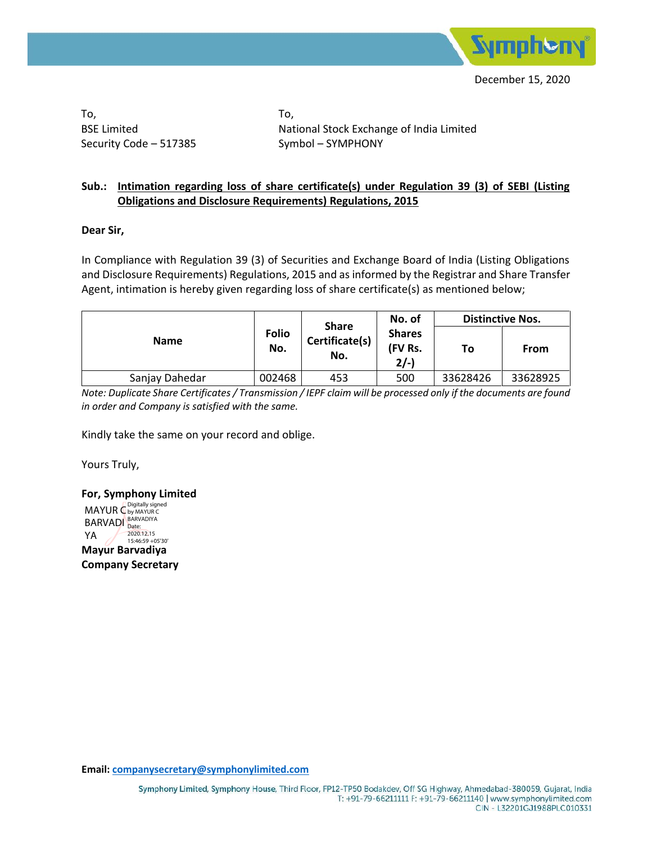

To, BSE Limited Security Code – 517385 To, National Stock Exchange of India Limited Symbol – SYMPHONY

## **Sub.: Intimation regarding loss of share certificate(s) under Regulation 39 (3) of SEBI (Listing Obligations and Disclosure Requirements) Regulations, 2015**

## **Dear Sir,**

In Compliance with Regulation 39 (3) of Securities and Exchange Board of India (Listing Obligations and Disclosure Requirements) Regulations, 2015 and as informed by the Registrar and Share Transfer Agent, intimation is hereby given regarding loss of share certificate(s) as mentioned below;

| <b>Name</b>    |                     | <b>Share</b><br>Certificate(s)<br>No. | No. of                            | <b>Distinctive Nos.</b> |             |
|----------------|---------------------|---------------------------------------|-----------------------------------|-------------------------|-------------|
|                | <b>Folio</b><br>No. |                                       | <b>Shares</b><br>(FV Rs.<br>$2/-$ | To                      | <b>From</b> |
| Sanjay Dahedar | 002468              | 453                                   | 500                               | 33628426                | 33628925    |

*Note: Duplicate Share Certificates / Transmission / IEPF claim will be processed only if the documents are found in order and Company is satisfied with the same.*

Kindly take the same on your record and oblige.

Yours Truly,

**For, Symphony Limited Mayur Barvadiya Company Secretary** MAYUR C<sup>Digitally signed</sup> BARVADI BARVADIYA YA 2020.12.15 15:46:59 +05'30'

**Email: companysecretary@symphonylimited.com**